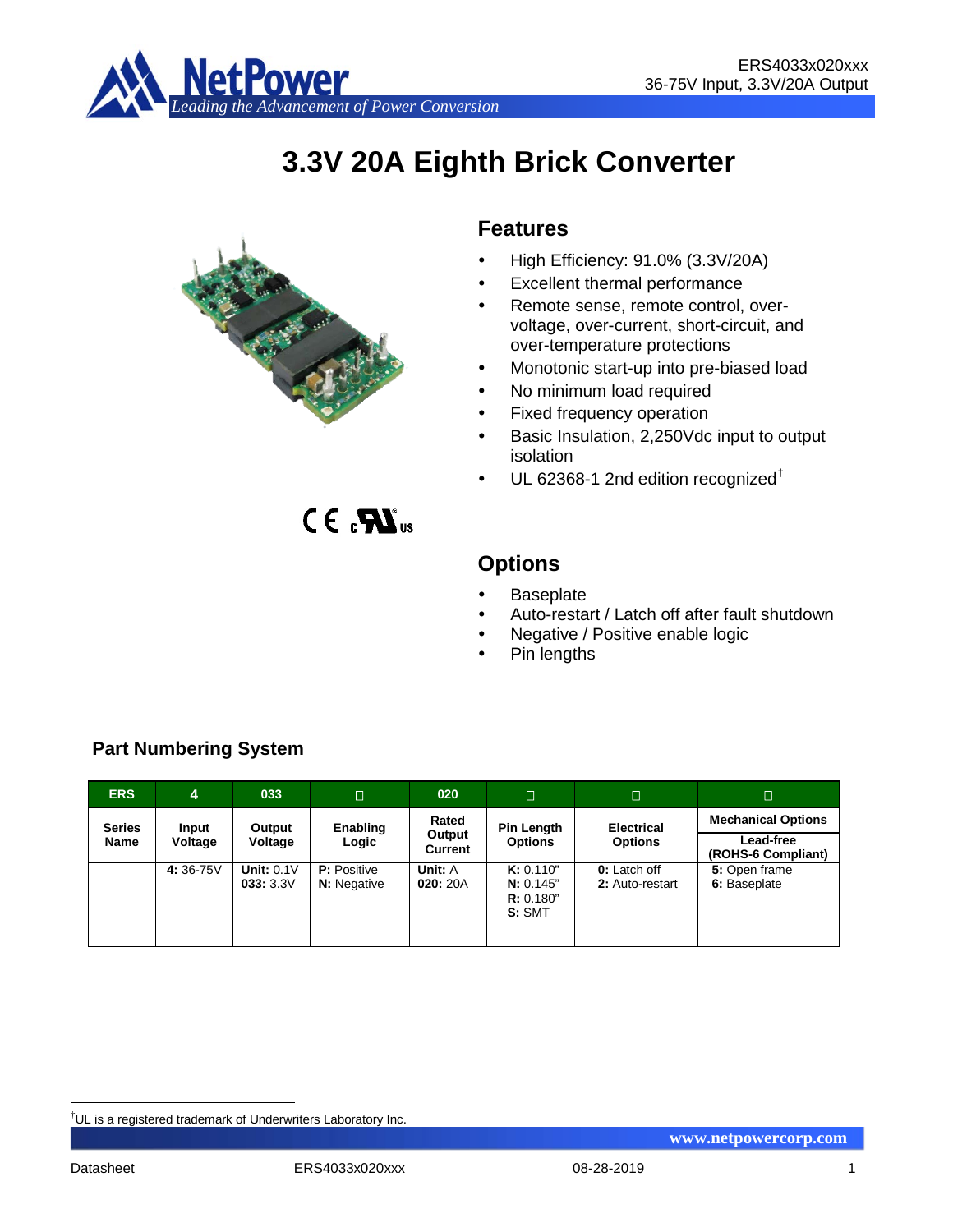

# **3.3V 20A Eighth Brick Converter**



 $CE<sub>s</sub>$  $X<sub>us</sub>$ 

## **Features**

- $\bullet$  High Efficiency: 91.0% (3.3V/20A)
- Excellent thermal performance
- Remote sense, remote control, overvoltage, over-current, short-circuit, and over-temperature protections
- Monotonic start-up into pre-biased load
- No minimum load required
- Fixed frequency operation
- Basic Insulation, 2,250Vdc input to output isolation
- UL 62368-1 2nd edition recognized[†](#page-0-0)

**Options**

- **Baseplate**
- Auto-restart / Latch off after fault shutdown
- Negative / Positive enable logic
- Pin lengths

| <b>ERS</b>            | 4                | 033                      | П                                        | 020                               | $\Box$                                       | $\Box$                              | Π                                                            |
|-----------------------|------------------|--------------------------|------------------------------------------|-----------------------------------|----------------------------------------------|-------------------------------------|--------------------------------------------------------------|
| <b>Series</b><br>Name | Input<br>Voltage | Output<br>Voltage        | Enabling<br>Logic                        | Rated<br>Output<br><b>Current</b> | <b>Pin Length</b><br><b>Options</b>          | <b>Electrical</b><br><b>Options</b> | <b>Mechanical Options</b><br>Lead-free<br>(ROHS-6 Compliant) |
|                       | 4:36-75V         | Unit: $0.1V$<br>033:3.3V | <b>P:</b> Positive<br><b>N:</b> Negative | Unit: A<br>020: 20A               | K: 0.110"<br>N: 0.145"<br>R: 0.180"<br>S:SMT | 0: Latch off<br>2: Auto-restart     | 5: Open frame<br>6: Baseplate                                |

## **Part Numbering System**

<span id="page-0-0"></span><sup>|&</sup>lt;br>|<br>| <sup>†</sup>UL is a registered trademark of Underwriters Laboratory Inc.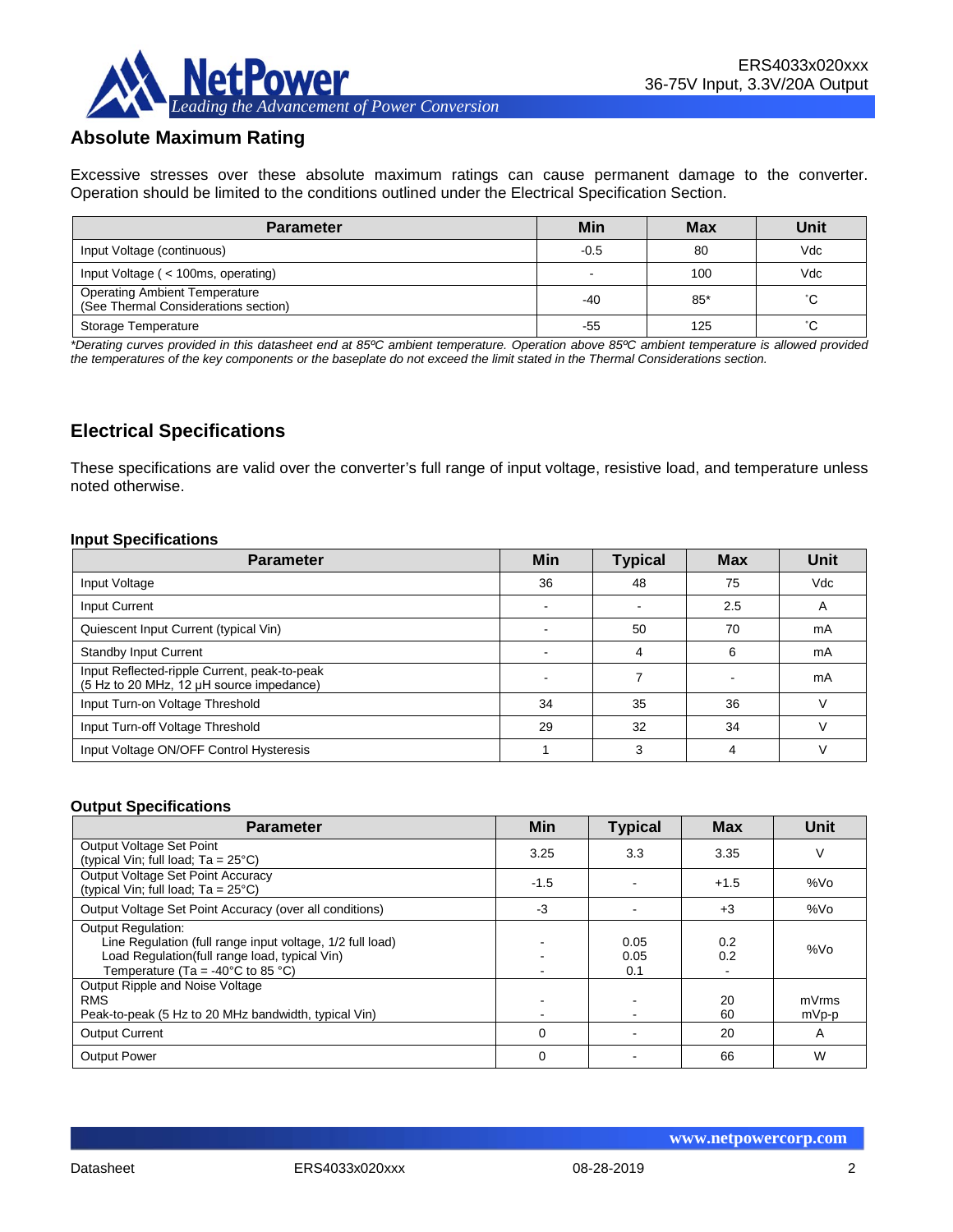

## **Absolute Maximum Rating**

Excessive stresses over these absolute maximum ratings can cause permanent damage to the converter. Operation should be limited to the conditions outlined under the Electrical Specification Section.

| <b>Parameter</b>                                                             | Min    | <b>Max</b> | Unit |
|------------------------------------------------------------------------------|--------|------------|------|
| Input Voltage (continuous)                                                   | $-0.5$ | 80         | Vdc  |
| Input Voltage (< 100ms, operating)                                           |        | 100        | Vdc  |
| <b>Operating Ambient Temperature</b><br>(See Thermal Considerations section) | -40    | $85*$      | °С   |
| Storage Temperature                                                          | -55    | 125        | °С   |

*\*Derating curves provided in this datasheet end at 85ºC ambient temperature. Operation above 85ºC ambient temperature is allowed provided the temperatures of the key components or the baseplate do not exceed the limit stated in the Thermal Considerations section.*

## **Electrical Specifications**

These specifications are valid over the converter's full range of input voltage, resistive load, and temperature unless noted otherwise.

#### **Input Specifications**

| <b>Parameter</b>                                                                         | <b>Min</b>               | <b>Typical</b> | <b>Max</b> | Unit |
|------------------------------------------------------------------------------------------|--------------------------|----------------|------------|------|
| Input Voltage                                                                            | 36                       | 48             | 75         | Vdc  |
| Input Current                                                                            | $\overline{\phantom{a}}$ |                | 2.5        | A    |
| Quiescent Input Current (typical Vin)                                                    |                          | 50             | 70         | mA   |
| <b>Standby Input Current</b>                                                             |                          | 4              | 6          | mA   |
| Input Reflected-ripple Current, peak-to-peak<br>(5 Hz to 20 MHz, 12 µH source impedance) |                          |                |            | mA   |
| Input Turn-on Voltage Threshold                                                          | 34                       | 35             | 36         |      |
| Input Turn-off Voltage Threshold                                                         | 29                       | 32             | 34         |      |
| Input Voltage ON/OFF Control Hysteresis                                                  |                          | ົ              | 4          |      |

#### **Output Specifications**

| <b>Parameter</b>                                                                                                                                                                                  | Min         | <b>Typical</b>      | <b>Max</b> | Unit           |
|---------------------------------------------------------------------------------------------------------------------------------------------------------------------------------------------------|-------------|---------------------|------------|----------------|
| Output Voltage Set Point<br>(typical Vin; full load; $Ta = 25^{\circ}C$ )                                                                                                                         | 3.25        | 3.3                 | 3.35       | V              |
| Output Voltage Set Point Accuracy<br>(typical Vin; full load; $Ta = 25^{\circ}C$ )                                                                                                                | -1.5        |                     | $+1.5$     | %Vo            |
| Output Voltage Set Point Accuracy (over all conditions)                                                                                                                                           | -3          |                     | $+3$       | %Vo            |
| <b>Output Regulation:</b><br>Line Regulation (full range input voltage, 1/2 full load)<br>Load Regulation(full range load, typical Vin)<br>Temperature (Ta = -40 $^{\circ}$ C to 85 $^{\circ}$ C) |             | 0.05<br>0.05<br>0.1 | 0.2<br>0.2 | %Vo            |
| Output Ripple and Noise Voltage<br><b>RMS</b><br>Peak-to-peak (5 Hz to 20 MHz bandwidth, typical Vin)                                                                                             |             |                     | 20<br>60   | mVrms<br>mVp-p |
| <b>Output Current</b>                                                                                                                                                                             | $\mathbf 0$ |                     | 20         | A              |
| <b>Output Power</b>                                                                                                                                                                               | $\mathbf 0$ |                     | 66         | W              |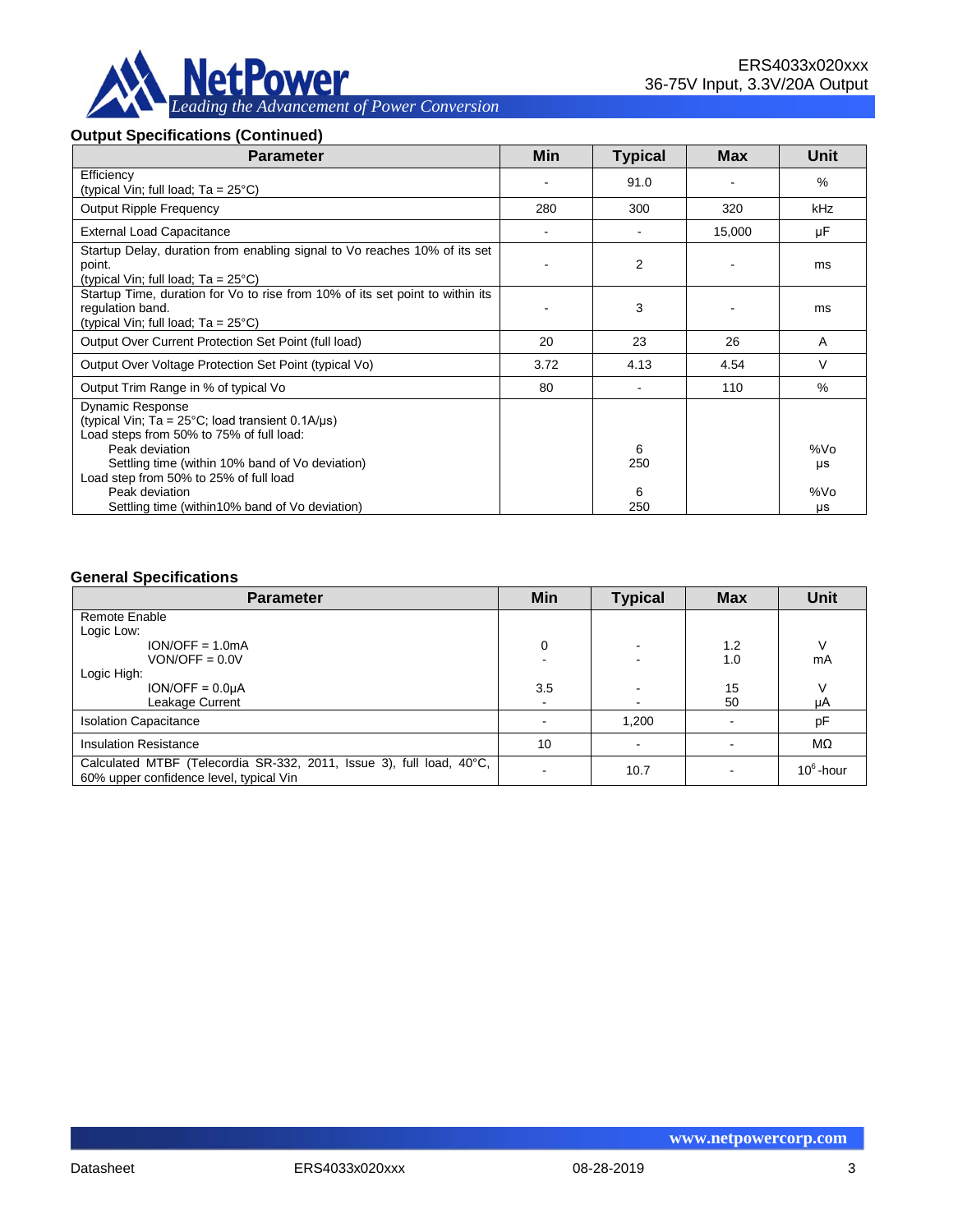

#### **Output Specifications (Continued)**

| <b>Parameter</b>                                                                                                                                                                                              | Min                      | <b>Typical</b> | <b>Max</b> | Unit      |
|---------------------------------------------------------------------------------------------------------------------------------------------------------------------------------------------------------------|--------------------------|----------------|------------|-----------|
| Efficiency<br>(typical Vin; full load; $Ta = 25^{\circ}C$ )                                                                                                                                                   |                          | 91.0           |            | $\%$      |
| <b>Output Ripple Frequency</b>                                                                                                                                                                                | 280                      | 300            | 320        | kHz       |
| <b>External Load Capacitance</b>                                                                                                                                                                              | $\overline{\phantom{a}}$ |                | 15,000     | μF        |
| Startup Delay, duration from enabling signal to Vo reaches 10% of its set<br>point.<br>(typical Vin; full load; $Ta = 25^{\circ}C$ )                                                                          |                          | 2              |            | ms        |
| Startup Time, duration for Vo to rise from 10% of its set point to within its<br>regulation band.<br>(typical Vin; full load; $Ta = 25^{\circ}C$ )                                                            |                          | 3              |            | ms        |
| Output Over Current Protection Set Point (full load)                                                                                                                                                          | 20                       | 23             | 26         | A         |
| Output Over Voltage Protection Set Point (typical Vo)                                                                                                                                                         | 3.72                     | 4.13           | 4.54       | V         |
| Output Trim Range in % of typical Vo                                                                                                                                                                          | 80                       |                | 110        | $\%$      |
| <b>Dynamic Response</b><br>(typical Vin; $Ta = 25^{\circ}C$ ; load transient 0.1A/ $\mu s$ )<br>Load steps from 50% to 75% of full load:<br>Peak deviation<br>Settling time (within 10% band of Vo deviation) |                          | 6<br>250       |            | %Vo<br>μs |
| Load step from 50% to 25% of full load<br>Peak deviation<br>Settling time (within 10% band of Vo deviation)                                                                                                   |                          | 6<br>250       |            | %Vo<br>μs |

#### **General Specifications**

| <b>Parameter</b>                                                                                                | Min  | <b>Typical</b> | <b>Max</b> | <b>Unit</b>  |
|-----------------------------------------------------------------------------------------------------------------|------|----------------|------------|--------------|
| Remote Enable                                                                                                   |      |                |            |              |
| Logic Low:                                                                                                      |      |                |            |              |
| $ION/OFF = 1.0mA$                                                                                               | 0    |                | 1.2        |              |
| $VON/OFF = 0.0V$                                                                                                |      |                | 1.0        | mA           |
| Logic High:                                                                                                     |      |                |            |              |
| $ION/OFF = 0.0µA$                                                                                               | 3.5  |                | 15         |              |
| Leakage Current                                                                                                 | $\,$ |                | 50         | μA           |
| <b>Isolation Capacitance</b>                                                                                    |      | 1,200          |            | pF           |
| <b>Insulation Resistance</b>                                                                                    | 10   |                |            | MΩ           |
| Calculated MTBF (Telecordia SR-332, 2011, Issue 3), full load, 40°C,<br>60% upper confidence level, typical Vin |      | 10.7           |            | $10^6$ -hour |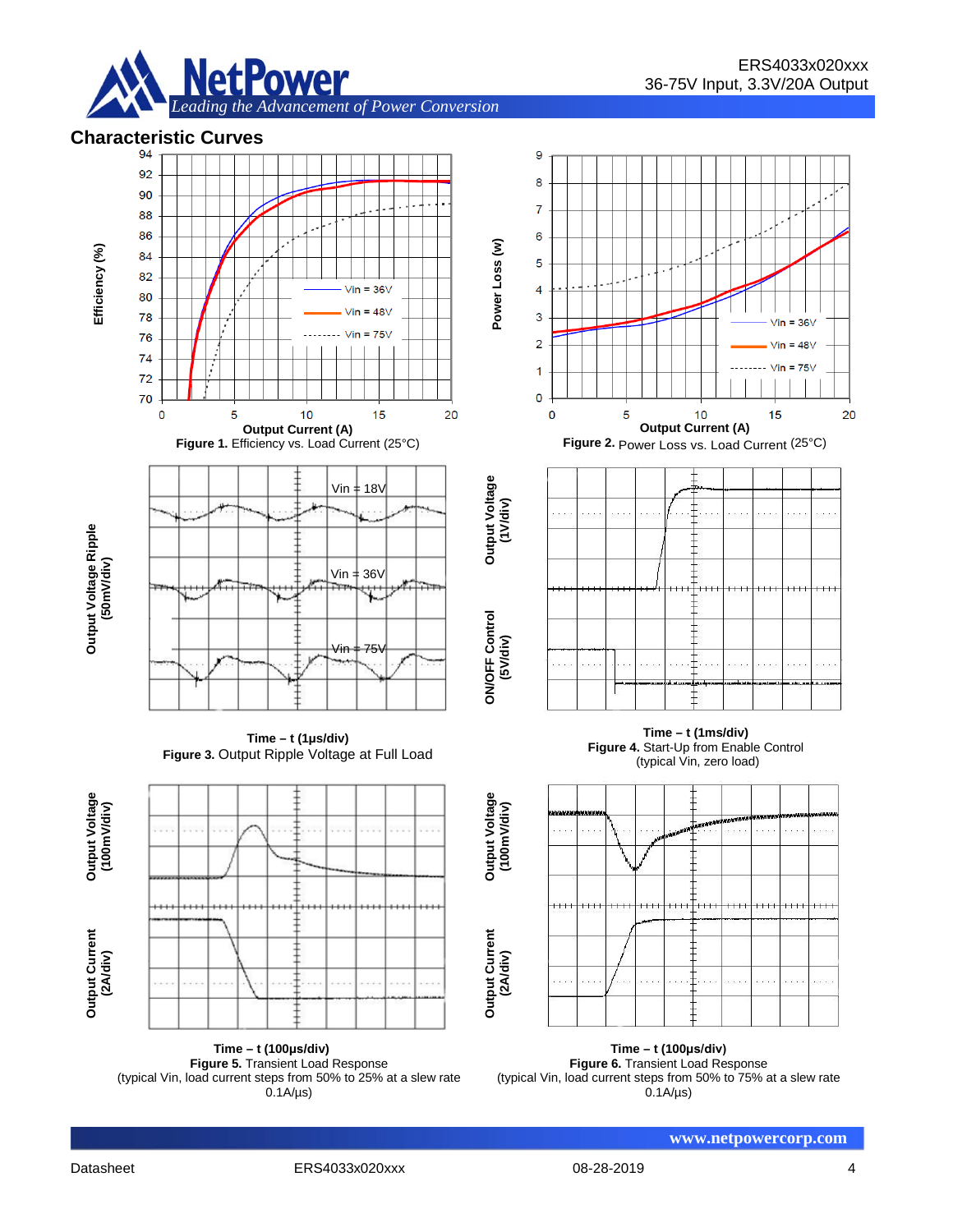

# **Characteristic Curves**



**(100m Output Current (2A/div)**

**Time – t (100μs/div) Figure 5.** Transient Load Response (typical Vin, load current steps from 50% to 25% at a slew rate  $0.1A/\mu s$ 



**Figure 2.** Power Loss vs. Load Current (25°C)



**Time – t (1ms/div) Figure 4.** Start-Up from Enable Control (typical Vin, zero load)



**Time – t (100μs/div) Figure 6.** Transient Load Response (typical Vin, load current steps from 50% to 75% at a slew rate  $0.1A/\mu s$ 

**www.netpowercorp.com**

**Output Current (2A/div)**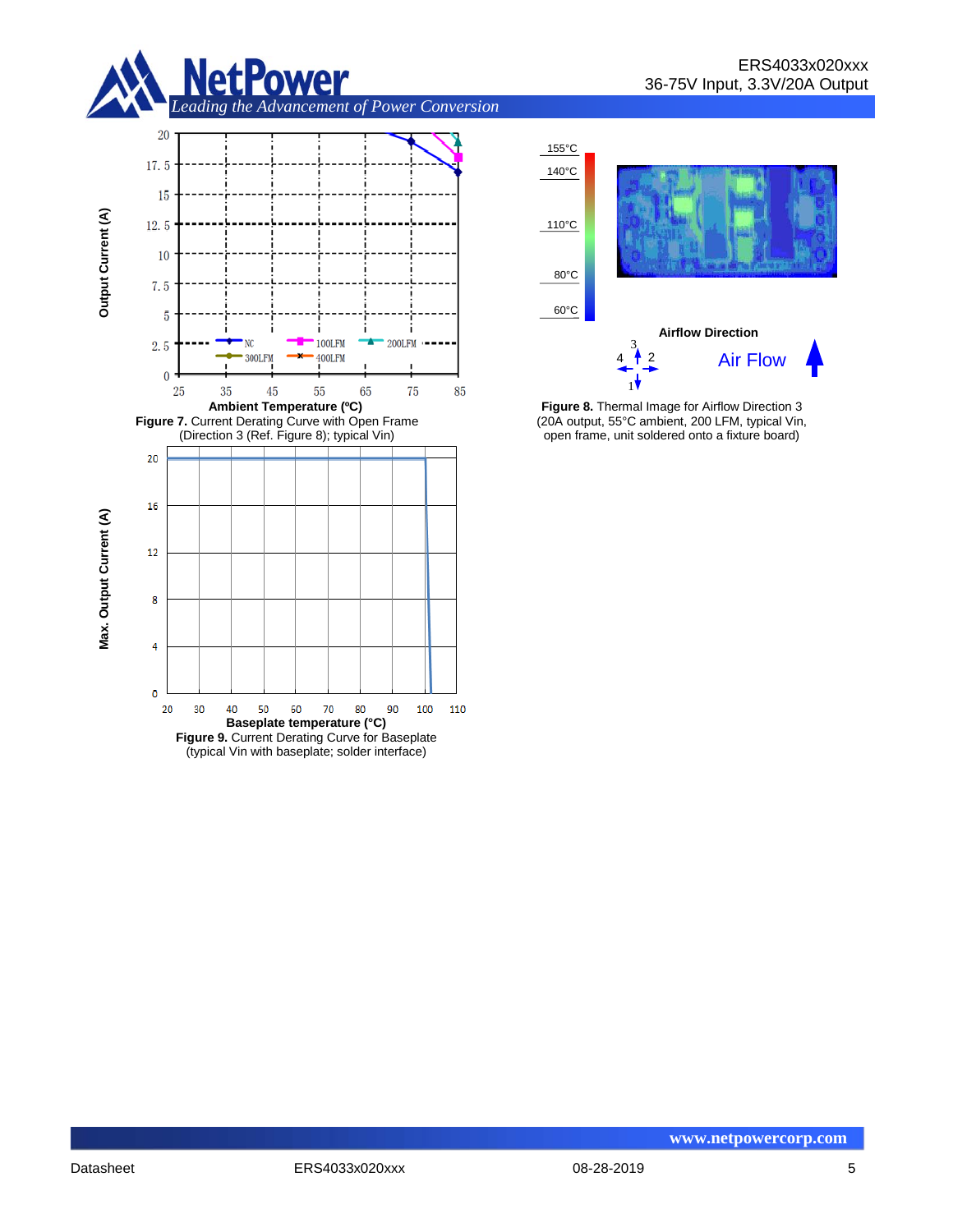





**Figure 8.** Thermal Image for Airflow Direction 3 (20A output, 55°C ambient, 200 LFM, typical Vin, open frame, unit soldered onto a fixture board)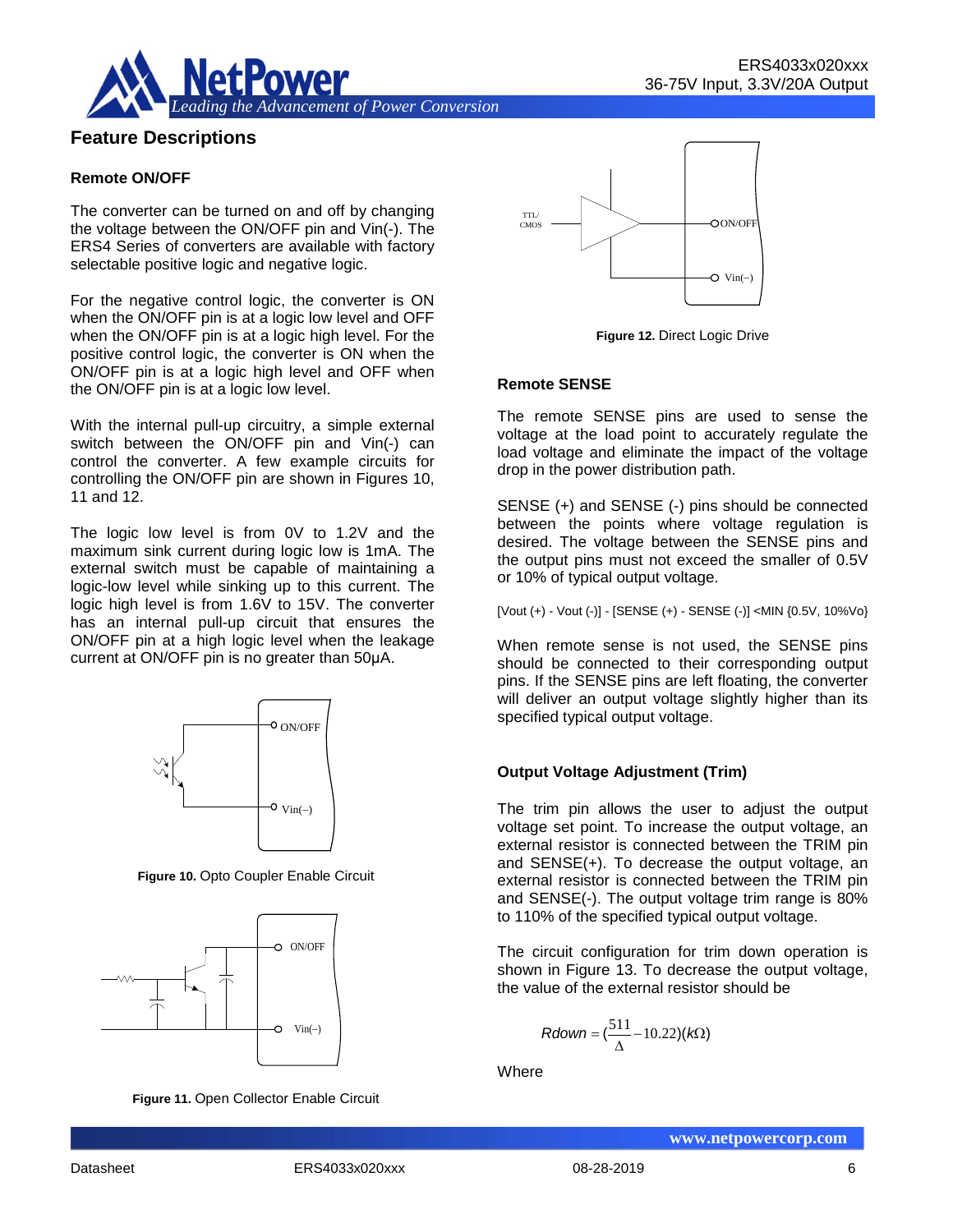

## **Feature Descriptions**

#### **Remote ON/OFF**

The converter can be turned on and off by changing the voltage between the ON/OFF pin and Vin(-). The ERS4 Series of converters are available with factory selectable positive logic and negative logic.

For the negative control logic, the converter is ON when the ON/OFF pin is at a logic low level and OFF when the ON/OFF pin is at a logic high level. For the positive control logic, the converter is ON when the ON/OFF pin is at a logic high level and OFF when the ON/OFF pin is at a logic low level.

With the internal pull-up circuitry, a simple external switch between the ON/OFF pin and Vin(-) can control the converter. A few example circuits for controlling the ON/OFF pin are shown in Figures 10, 11 and 12.

The logic low level is from 0V to 1.2V and the maximum sink current during logic low is 1mA. The external switch must be capable of maintaining a logic-low level while sinking up to this current. The logic high level is from 1.6V to 15V. The converter has an internal pull-up circuit that ensures the ON/OFF pin at a high logic level when the leakage current at ON/OFF pin is no greater than 50μA.



**Figure 10.** Opto Coupler Enable Circuit



**Figure 11.** Open Collector Enable Circuit



**Figure 12.** Direct Logic Drive

#### **Remote SENSE**

The remote SENSE pins are used to sense the voltage at the load point to accurately regulate the load voltage and eliminate the impact of the voltage drop in the power distribution path.

SENSE (+) and SENSE (-) pins should be connected between the points where voltage regulation is desired. The voltage between the SENSE pins and the output pins must not exceed the smaller of 0.5V or 10% of typical output voltage.

[Vout (+) - Vout (-)] - [SENSE (+) - SENSE (-)] <MIN {0.5V, 10%Vo}

When remote sense is not used, the SENSE pins should be connected to their corresponding output pins. If the SENSE pins are left floating, the converter will deliver an output voltage slightly higher than its specified typical output voltage.

#### **Output Voltage Adjustment (Trim)**

The trim pin allows the user to adjust the output voltage set point. To increase the output voltage, an external resistor is connected between the TRIM pin and SENSE(+). To decrease the output voltage, an external resistor is connected between the TRIM pin and SENSE(-). The output voltage trim range is 80% to 110% of the specified typical output voltage.

The circuit configuration for trim down operation is shown in Figure 13. To decrease the output voltage, the value of the external resistor should be

$$
Rdown = (\frac{511}{\Delta} - 10.22)(k\Omega)
$$

**Where**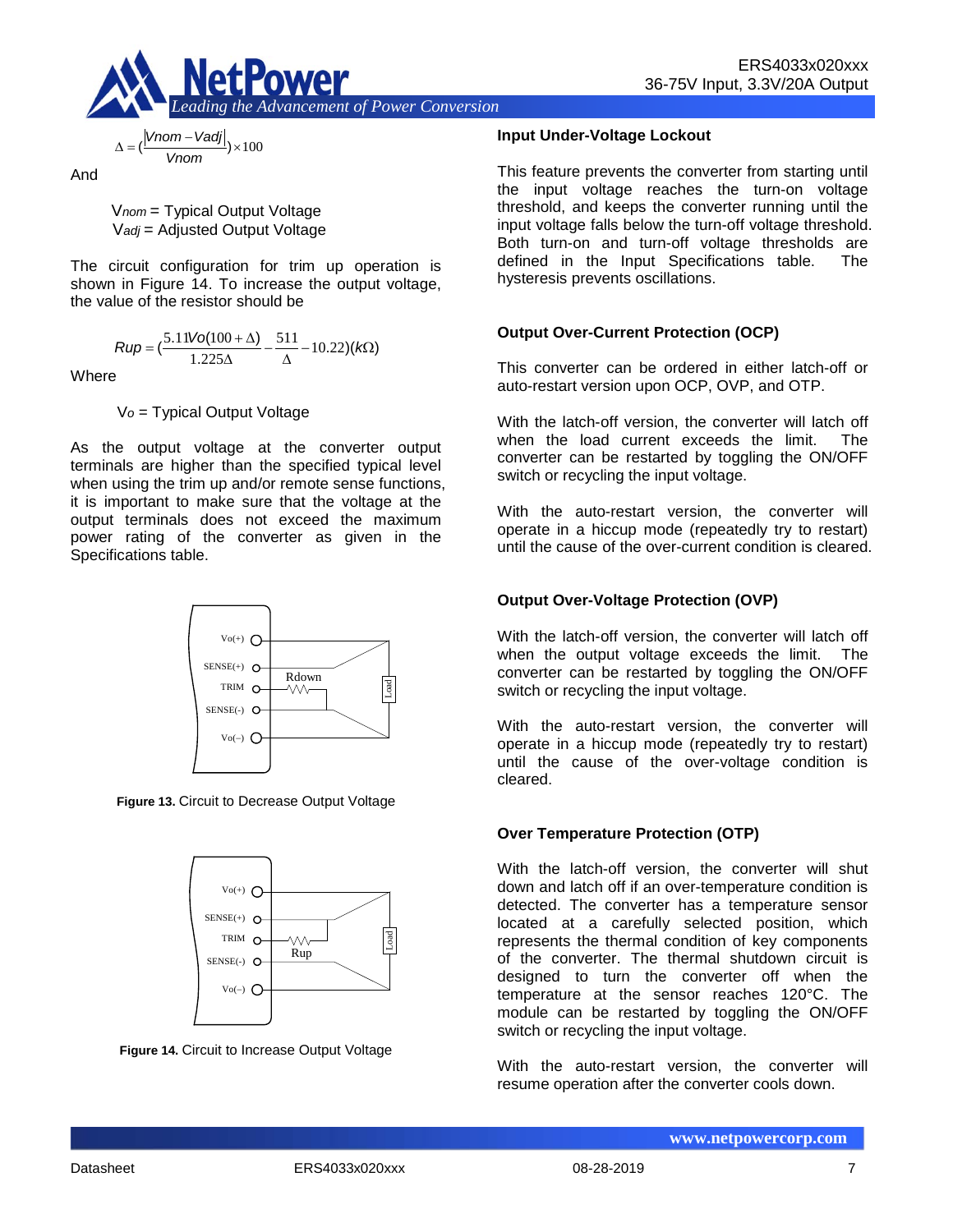

$$
\Delta = \left(\frac{|Vnom - Vadj|}{Vnom}\right) \times 100
$$

And

V*nom* = Typical Output Voltage V*adj* = Adjusted Output Voltage

The circuit configuration for trim up operation is shown in Figure 14. To increase the output voltage, the value of the resistor should be

$$
Rup = \left(\frac{5.11\text{Vol}(100 + \Delta)}{1.225\Delta} - \frac{511}{\Delta} - 10.22\right)(k\Omega)
$$

**Where** 

V*o* = Typical Output Voltage

As the output voltage at the converter output terminals are higher than the specified typical level when using the trim up and/or remote sense functions, it is important to make sure that the voltage at the output terminals does not exceed the maximum power rating of the converter as given in the Specifications table.



**Figure 13.** Circuit to Decrease Output Voltage



**Figure 14.** Circuit to Increase Output Voltage

#### **Input Under-Voltage Lockout**

This feature prevents the converter from starting until the input voltage reaches the turn-on voltage threshold, and keeps the converter running until the input voltage falls below the turn-off voltage threshold. Both turn-on and turn-off voltage thresholds are defined in the Input Specifications table. The hysteresis prevents oscillations.

#### **Output Over-Current Protection (OCP)**

This converter can be ordered in either latch-off or auto-restart version upon OCP, OVP, and OTP.

With the latch-off version, the converter will latch off when the load current exceeds the limit. The converter can be restarted by toggling the ON/OFF switch or recycling the input voltage.

With the auto-restart version, the converter will operate in a hiccup mode (repeatedly try to restart) until the cause of the over-current condition is cleared.

#### **Output Over-Voltage Protection (OVP)**

With the latch-off version, the converter will latch off when the output voltage exceeds the limit. The converter can be restarted by toggling the ON/OFF switch or recycling the input voltage.

With the auto-restart version, the converter will operate in a hiccup mode (repeatedly try to restart) until the cause of the over-voltage condition is cleared.

#### **Over Temperature Protection (OTP)**

With the latch-off version, the converter will shut down and latch off if an over-temperature condition is detected. The converter has a temperature sensor located at a carefully selected position, which represents the thermal condition of key components of the converter. The thermal shutdown circuit is designed to turn the converter off when the temperature at the sensor reaches 120°C. The module can be restarted by toggling the ON/OFF switch or recycling the input voltage.

With the auto-restart version, the converter will resume operation after the converter cools down.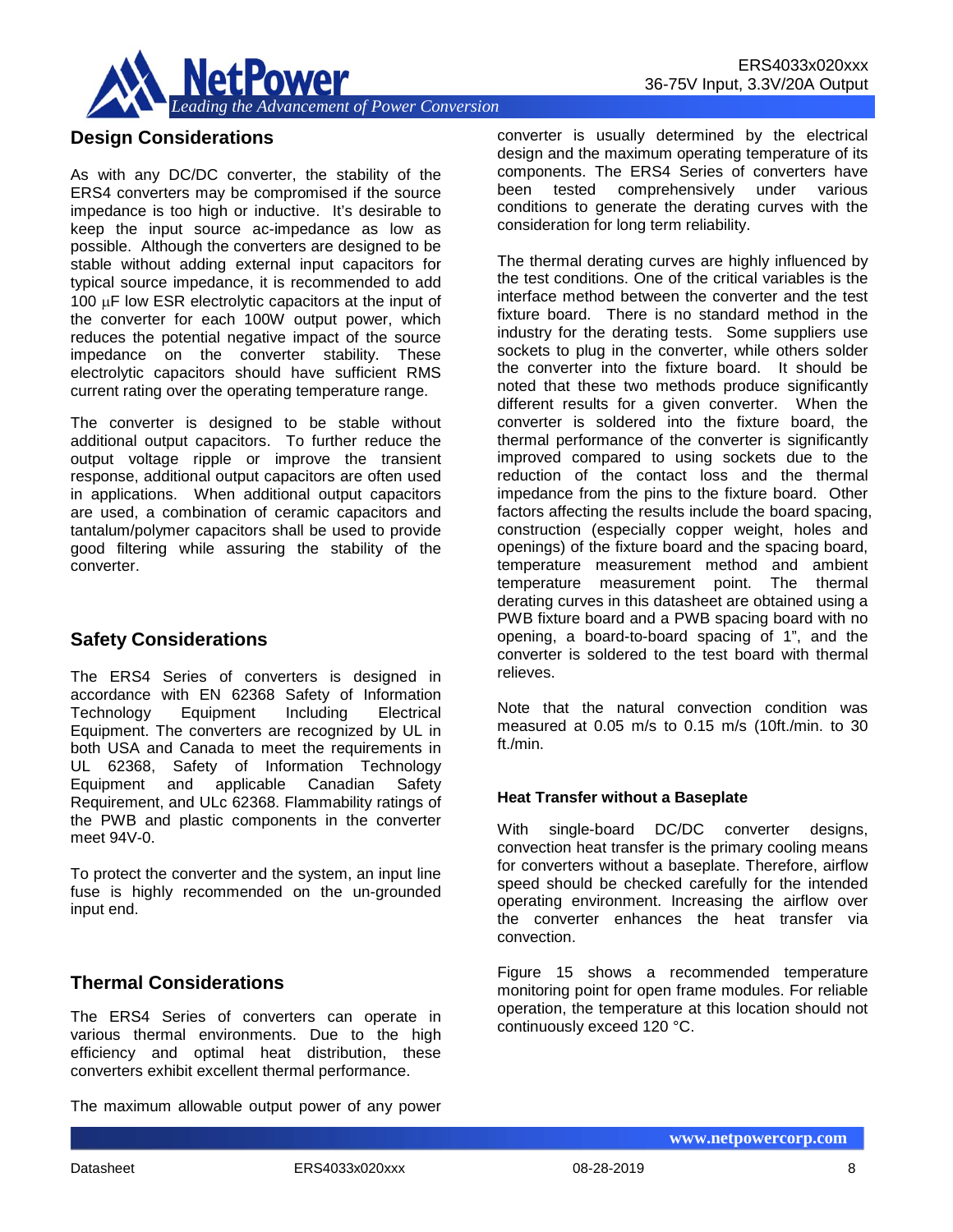

### **Design Considerations**

As with any DC/DC converter, the stability of the ERS4 converters may be compromised if the source impedance is too high or inductive. It's desirable to keep the input source ac-impedance as low as possible. Although the converters are designed to be stable without adding external input capacitors for typical source impedance, it is recommended to add 100 µF low ESR electrolytic capacitors at the input of the converter for each 100W output power, which reduces the potential negative impact of the source impedance on the converter stability. These electrolytic capacitors should have sufficient RMS current rating over the operating temperature range.

The converter is designed to be stable without additional output capacitors. To further reduce the output voltage ripple or improve the transient response, additional output capacitors are often used in applications. When additional output capacitors are used, a combination of ceramic capacitors and tantalum/polymer capacitors shall be used to provide good filtering while assuring the stability of the converter.

## **Safety Considerations**

The ERS4 Series of converters is designed in accordance with EN 62368 Safety of Information Technology Equipment Including Electrical Equipment. The converters are recognized by UL in both USA and Canada to meet the requirements in UL 62368, Safety of Information Technology Equipment and applicable Canadian Safety Requirement, and ULc 62368. Flammability ratings of the PWB and plastic components in the converter meet 94V-0.

To protect the converter and the system, an input line fuse is highly recommended on the un-grounded input end.

## **Thermal Considerations**

The ERS4 Series of converters can operate in various thermal environments. Due to the high efficiency and optimal heat distribution, these converters exhibit excellent thermal performance.

The maximum allowable output power of any power

converter is usually determined by the electrical design and the maximum operating temperature of its components. The ERS4 Series of converters have been tested comprehensively under various conditions to generate the derating curves with the

consideration for long term reliability.

The thermal derating curves are highly influenced by the test conditions. One of the critical variables is the interface method between the converter and the test fixture board. There is no standard method in the industry for the derating tests. Some suppliers use sockets to plug in the converter, while others solder the converter into the fixture board. It should be noted that these two methods produce significantly different results for a given converter. When the converter is soldered into the fixture board, the thermal performance of the converter is significantly improved compared to using sockets due to the reduction of the contact loss and the thermal impedance from the pins to the fixture board. Other factors affecting the results include the board spacing, construction (especially copper weight, holes and openings) of the fixture board and the spacing board, temperature measurement method and ambient temperature measurement point. The thermal derating curves in this datasheet are obtained using a PWB fixture board and a PWB spacing board with no opening, a board-to-board spacing of 1", and the converter is soldered to the test board with thermal relieves.

Note that the natural convection condition was measured at 0.05 m/s to 0.15 m/s (10ft./min. to 30 ft./min.

#### **Heat Transfer without a Baseplate**

With single-board DC/DC converter designs, convection heat transfer is the primary cooling means for converters without a baseplate. Therefore, airflow speed should be checked carefully for the intended operating environment. Increasing the airflow over the converter enhances the heat transfer via convection.

Figure 15 shows a recommended temperature monitoring point for open frame modules. For reliable operation, the temperature at this location should not continuously exceed 120 °C.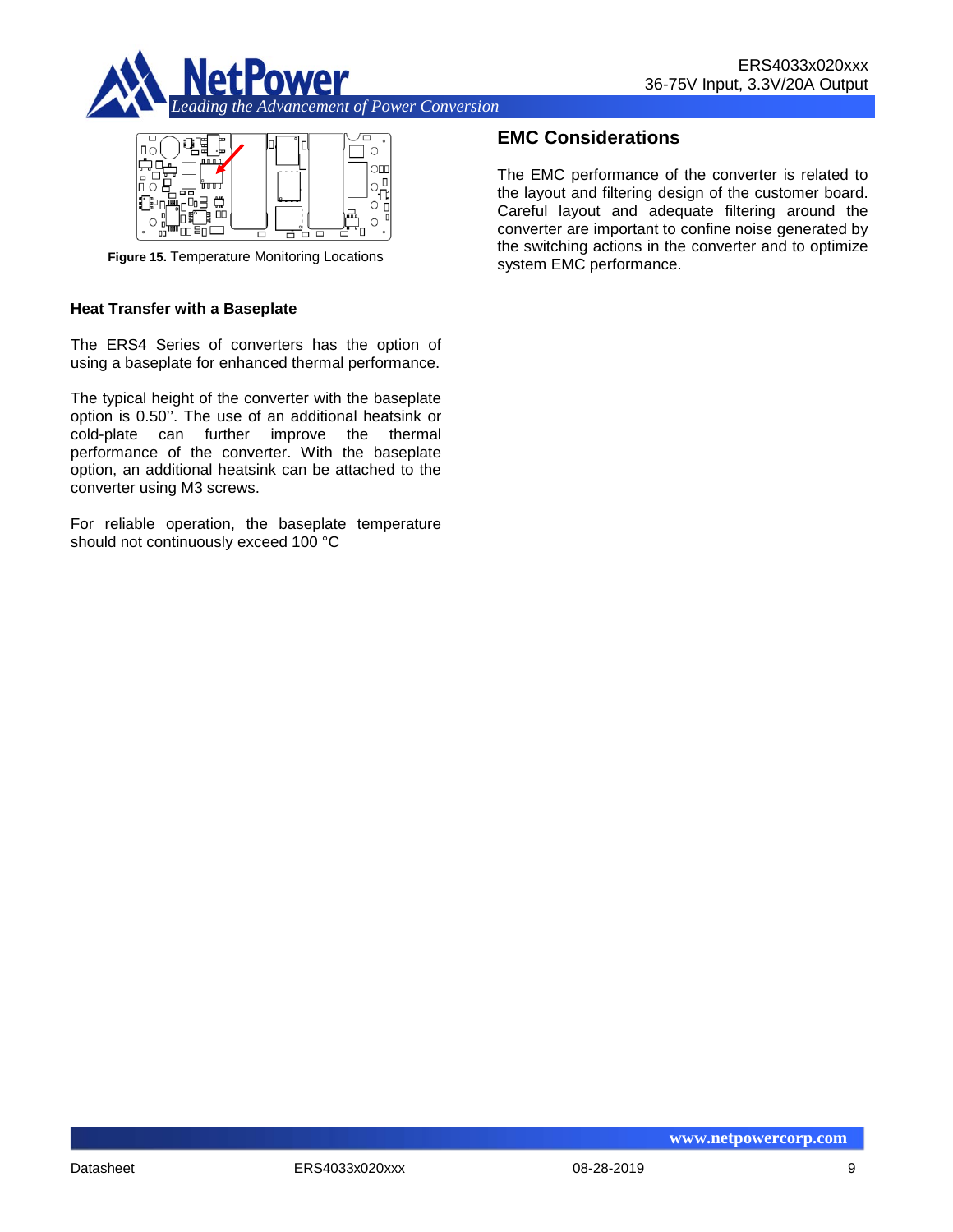



**Figure 15.** Temperature Monitoring Locations

#### **Heat Transfer with a Baseplate**

The ERS4 Series of converters has the option of using a baseplate for enhanced thermal performance.

The typical height of the converter with the baseplate option is 0.50''. The use of an additional heatsink or cold-plate can further improve the thermal performance of the converter. With the baseplate option, an additional heatsink can be attached to the converter using M3 screws.

For reliable operation, the baseplate temperature should not continuously exceed 100 °C

### **EMC Considerations**

The EMC performance of the converter is related to the layout and filtering design of the customer board. Careful layout and adequate filtering around the converter are important to confine noise generated by the switching actions in the converter and to optimize system EMC performance.